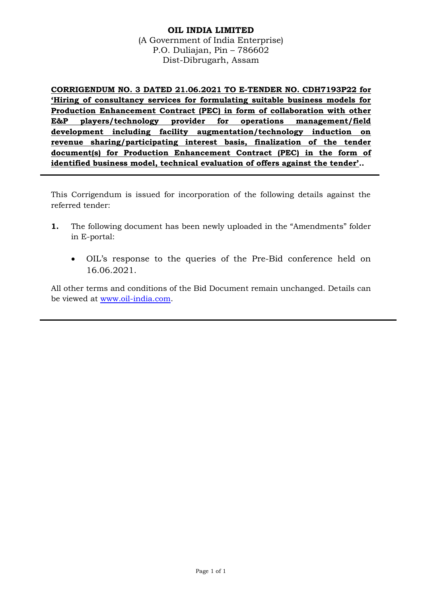## **OIL INDIA LIMITED** (A Government of India Enterprise) P.O. Duliajan, Pin – 786602 Dist-Dibrugarh, Assam

**CORRIGENDUM NO. 3 DATED 21.06.2021 TO E-TENDER NO. CDH7193P22 for 'Hiring of consultancy services for formulating suitable business models for Production Enhancement Contract (PEC) in form of collaboration with other E&P players/technology provider for operations management/field development including facility augmentation/technology induction on revenue sharing/participating interest basis, finalization of the tender document(s) for Production Enhancement Contract (PEC) in the form of identified business model, technical evaluation of offers against the tender'..**

This Corrigendum is issued for incorporation of the following details against the referred tender:

- **1.** The following document has been newly uploaded in the "Amendments" folder in E-portal:
	- OIL's response to the queries of the Pre-Bid conference held on 16.06.2021.

All other terms and conditions of the Bid Document remain unchanged. Details can be viewed at [www.oil-india.com.](http://www.oil-india.com/)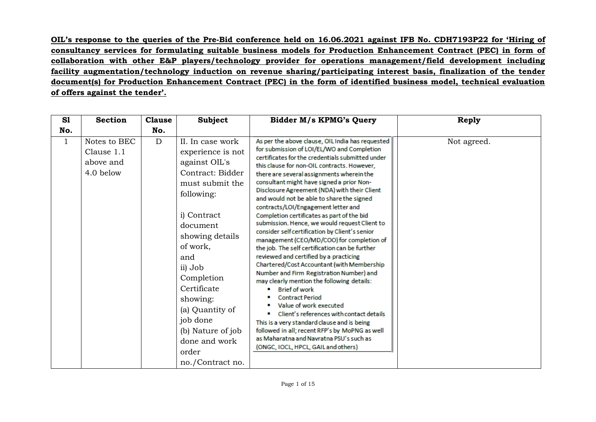**OIL's response to the queries of the Pre-Bid conference held on 16.06.2021 against IFB No. CDH7193P22 for 'Hiring of consultancy services for formulating suitable business models for Production Enhancement Contract (PEC) in form of collaboration with other E&P players/technology provider for operations management/field development including facility augmentation/technology induction on revenue sharing/participating interest basis, finalization of the tender document(s) for Production Enhancement Contract (PEC) in the form of identified business model, technical evaluation of offers against the tender'.**

| S1           | <b>Section</b>                                       | <b>Clause</b> | <b>Subject</b>                                                                                                                                                                                                                                                                                                                     | <b>Bidder M/s KPMG's Query</b>                                                                                                                                                                                                                                                                                                                                                                                                                                                                                                                                                                                                                                                                                                                                                                                                                                                                                                                                                                                                                                                                                                                                               | <b>Reply</b> |
|--------------|------------------------------------------------------|---------------|------------------------------------------------------------------------------------------------------------------------------------------------------------------------------------------------------------------------------------------------------------------------------------------------------------------------------------|------------------------------------------------------------------------------------------------------------------------------------------------------------------------------------------------------------------------------------------------------------------------------------------------------------------------------------------------------------------------------------------------------------------------------------------------------------------------------------------------------------------------------------------------------------------------------------------------------------------------------------------------------------------------------------------------------------------------------------------------------------------------------------------------------------------------------------------------------------------------------------------------------------------------------------------------------------------------------------------------------------------------------------------------------------------------------------------------------------------------------------------------------------------------------|--------------|
| No.          |                                                      | No.           |                                                                                                                                                                                                                                                                                                                                    |                                                                                                                                                                                                                                                                                                                                                                                                                                                                                                                                                                                                                                                                                                                                                                                                                                                                                                                                                                                                                                                                                                                                                                              |              |
| $\mathbf{1}$ | Notes to BEC<br>Clause 1.1<br>above and<br>4.0 below | D             | II. In case work<br>experience is not<br>against OIL's<br>Contract: Bidder<br>must submit the<br>following:<br>i) Contract<br>document<br>showing details<br>of work,<br>and<br>ii) Job<br>Completion<br>Certificate<br>showing:<br>(a) Quantity of<br>job done<br>(b) Nature of job<br>done and work<br>order<br>no./Contract no. | As per the above clause, OIL India has requested<br>for submission of LOI/EL/WO and Completion<br>certificates for the credentials submitted under<br>this clause for non-OIL contracts. However.<br>there are several assignments wherein the<br>consultant might have signed a prior Non-<br>Disclosure Agreement (NDA) with their Client<br>and would not be able to share the signed<br>contracts/LOI/Engagement letter and<br>Completion certificates as part of the bid<br>submission. Hence, we would request Client to<br>consider self certification by Client's senior<br>management (CEO/MD/COO) for completion of<br>the job. The self certification can be further<br>reviewed and certified by a practicing<br>Chartered/Cost Accountant (with Membership<br>Number and Firm Registration Number) and<br>may clearly mention the following details:<br><b>Brief of work</b><br><b>Contract Period</b><br>Value of work executed<br>Client's references with contact details<br>This is a very standard clause and is being<br>followed in all; recent RFP's by MoPNG as well<br>as Maharatna and Navratna PSU's such as<br>(ONGC, IOCL, HPCL, GAIL and others) | Not agreed.  |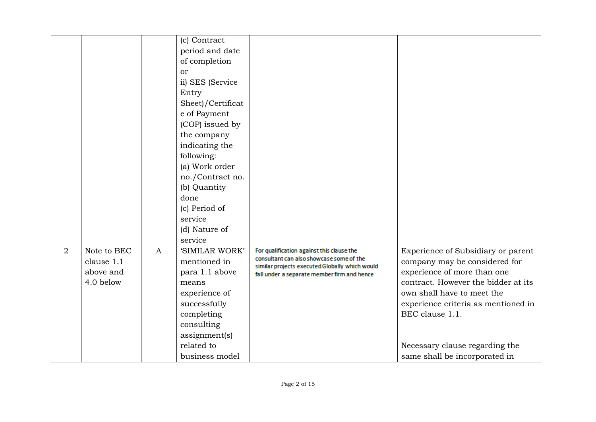|                |                           |              | (c) Contract<br>period and date<br>of completion<br>or<br>ii) SES (Service<br>Entry<br>Sheet)/Certificat<br>e of Payment<br>(COP) issued by<br>the company<br>indicating the<br>following:<br>(a) Work order<br>no./Contract no.<br>(b) Quantity<br>done<br>(c) Period of<br>service<br>(d) Nature of<br>service |                                                                                                                                         |                                                                     |
|----------------|---------------------------|--------------|------------------------------------------------------------------------------------------------------------------------------------------------------------------------------------------------------------------------------------------------------------------------------------------------------------------|-----------------------------------------------------------------------------------------------------------------------------------------|---------------------------------------------------------------------|
| $\overline{2}$ | Note to BEC<br>clause 1.1 | $\mathbf{A}$ | 'SIMILAR WORK'<br>mentioned in                                                                                                                                                                                                                                                                                   | For qualification against this clause the<br>consultant can also showcase some of the<br>similar projects executed Globally which would | Experience of Subsidiary or parent<br>company may be considered for |
|                | above and                 |              | para 1.1 above                                                                                                                                                                                                                                                                                                   | fall under a separate member firm and hence                                                                                             | experience of more than one                                         |
|                | 4.0 below                 |              | means                                                                                                                                                                                                                                                                                                            |                                                                                                                                         | contract. However the bidder at its                                 |
|                |                           |              | experience of                                                                                                                                                                                                                                                                                                    |                                                                                                                                         | own shall have to meet the                                          |
|                |                           |              | successfully                                                                                                                                                                                                                                                                                                     |                                                                                                                                         | experience criteria as mentioned in                                 |
|                |                           |              | completing                                                                                                                                                                                                                                                                                                       |                                                                                                                                         | BEC clause 1.1.                                                     |
|                |                           |              | consulting                                                                                                                                                                                                                                                                                                       |                                                                                                                                         |                                                                     |
|                |                           |              | assignment(s)<br>related to                                                                                                                                                                                                                                                                                      |                                                                                                                                         | Necessary clause regarding the                                      |
|                |                           |              | business model                                                                                                                                                                                                                                                                                                   |                                                                                                                                         |                                                                     |
|                |                           |              |                                                                                                                                                                                                                                                                                                                  |                                                                                                                                         | same shall be incorporated in                                       |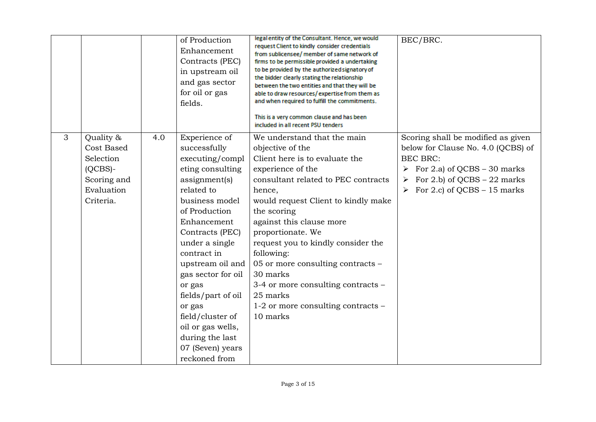|   |                                                                                              |     | of Production<br>Enhancement<br>Contracts (PEC)<br>in upstream oil<br>and gas sector<br>for oil or gas<br>fields.                                                                                                                                                                                                                                                                              | legal entity of the Consultant. Hence, we would<br>request Client to kindly consider credentials<br>from sublicensee/ member of same network of<br>firms to be permissible provided a undertaking<br>to be provided by the authorized signatory of<br>the bidder clearly stating the relationship<br>between the two entities and that they will be<br>able to draw resources/expertise from them as<br>and when required to fulfill the commitments.<br>This is a very common clause and has been<br>included in all recent PSU tenders | BEC/BRC.                                                                                                                                                                                                                   |
|---|----------------------------------------------------------------------------------------------|-----|------------------------------------------------------------------------------------------------------------------------------------------------------------------------------------------------------------------------------------------------------------------------------------------------------------------------------------------------------------------------------------------------|------------------------------------------------------------------------------------------------------------------------------------------------------------------------------------------------------------------------------------------------------------------------------------------------------------------------------------------------------------------------------------------------------------------------------------------------------------------------------------------------------------------------------------------|----------------------------------------------------------------------------------------------------------------------------------------------------------------------------------------------------------------------------|
| 3 | Quality &<br>Cost Based<br>Selection<br>$(QCBS)$ -<br>Scoring and<br>Evaluation<br>Criteria. | 4.0 | Experience of<br>successfully<br>executing/compl<br>eting consulting<br>assignment(s)<br>related to<br>business model<br>of Production<br>Enhancement<br>Contracts (PEC)<br>under a single<br>contract in<br>upstream oil and<br>gas sector for oil<br>or gas<br>fields/part of oil<br>or gas<br>field/cluster of<br>oil or gas wells,<br>during the last<br>07 (Seven) years<br>reckoned from | We understand that the main<br>objective of the<br>Client here is to evaluate the<br>experience of the<br>consultant related to PEC contracts<br>hence,<br>would request Client to kindly make<br>the scoring<br>against this clause more<br>proportionate. We<br>request you to kindly consider the<br>following:<br>05 or more consulting contracts -<br>30 marks<br>3-4 or more consulting contracts –<br>25 marks<br>1-2 or more consulting contracts –<br>10 marks                                                                  | Scoring shall be modified as given<br>below for Clause No. 4.0 (QCBS) of<br><b>BEC BRC:</b><br>$\triangleright$ For 2.a) of QCBS – 30 marks<br>For 2.b) of QCBS – 22 marks<br>$\triangleright$ For 2.c) of QCBS – 15 marks |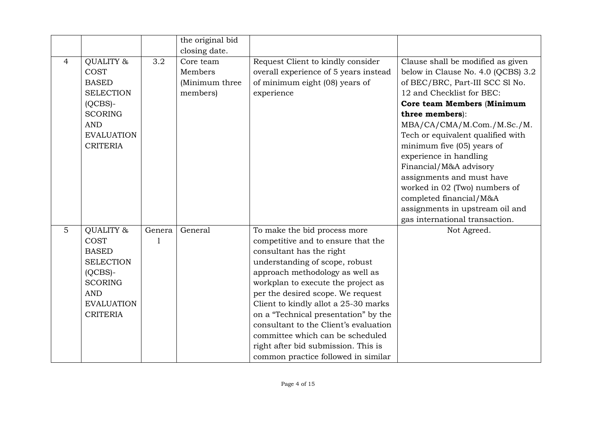|                |                                                                                                                                                    |                        | the original bid                                   |                                                                                                                                                                                                                                                                                                                                                                                                                                                                                           |                                                                                                                                                                                                                                                                                                                                                                                                                                                                           |
|----------------|----------------------------------------------------------------------------------------------------------------------------------------------------|------------------------|----------------------------------------------------|-------------------------------------------------------------------------------------------------------------------------------------------------------------------------------------------------------------------------------------------------------------------------------------------------------------------------------------------------------------------------------------------------------------------------------------------------------------------------------------------|---------------------------------------------------------------------------------------------------------------------------------------------------------------------------------------------------------------------------------------------------------------------------------------------------------------------------------------------------------------------------------------------------------------------------------------------------------------------------|
|                |                                                                                                                                                    |                        | closing date.                                      |                                                                                                                                                                                                                                                                                                                                                                                                                                                                                           |                                                                                                                                                                                                                                                                                                                                                                                                                                                                           |
| $\overline{4}$ | QUALITY &<br><b>COST</b><br><b>BASED</b><br><b>SELECTION</b><br>$(QCBS)$ -<br><b>SCORING</b><br><b>AND</b><br><b>EVALUATION</b><br><b>CRITERIA</b> | 3.2                    | Core team<br>Members<br>(Minimum three<br>members) | Request Client to kindly consider<br>overall experience of 5 years instead<br>of minimum eight (08) years of<br>experience                                                                                                                                                                                                                                                                                                                                                                | Clause shall be modified as given<br>below in Clause No. 4.0 (QCBS) 3.2<br>of BEC/BRC, Part-III SCC Sl No.<br>12 and Checklist for BEC:<br>Core team Members (Minimum<br>three members):<br>MBA/CA/CMA/M.Com./M.Sc./M.<br>Tech or equivalent qualified with<br>minimum five (05) years of<br>experience in handling<br>Financial/M&A advisory<br>assignments and must have<br>worked in 02 (Two) numbers of<br>completed financial/M&A<br>assignments in upstream oil and |
| 5              | QUALITY &<br>COST<br><b>BASED</b><br><b>SELECTION</b><br>$(OCBS)$ -<br><b>SCORING</b><br><b>AND</b><br><b>EVALUATION</b><br><b>CRITERIA</b>        | Genera<br>$\mathbf{1}$ | General                                            | To make the bid process more<br>competitive and to ensure that the<br>consultant has the right<br>understanding of scope, robust<br>approach methodology as well as<br>workplan to execute the project as<br>per the desired scope. We request<br>Client to kindly allot a 25-30 marks<br>on a "Technical presentation" by the<br>consultant to the Client's evaluation<br>committee which can be scheduled<br>right after bid submission. This is<br>common practice followed in similar | gas international transaction.<br>Not Agreed.                                                                                                                                                                                                                                                                                                                                                                                                                             |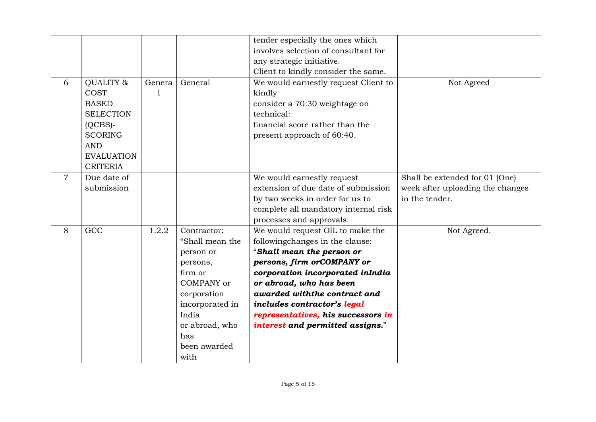|                |                                                                                                                                                    |             |                                                                                                                                                                                     | tender especially the ones which<br>involves selection of consultant for<br>any strategic initiative.                                                                                                                                                                                                                                   |                                                                                      |
|----------------|----------------------------------------------------------------------------------------------------------------------------------------------------|-------------|-------------------------------------------------------------------------------------------------------------------------------------------------------------------------------------|-----------------------------------------------------------------------------------------------------------------------------------------------------------------------------------------------------------------------------------------------------------------------------------------------------------------------------------------|--------------------------------------------------------------------------------------|
| 6              | QUALITY &<br><b>COST</b><br><b>BASED</b><br><b>SELECTION</b><br>$(QCBS)$ -<br><b>SCORING</b><br><b>AND</b><br><b>EVALUATION</b><br><b>CRITERIA</b> | Genera<br>1 | General                                                                                                                                                                             | Client to kindly consider the same.<br>We would earnestly request Client to<br>kindly<br>consider a 70:30 weightage on<br>technical:<br>financial score rather than the<br>present approach of 60:40.                                                                                                                                   | Not Agreed                                                                           |
| $\overline{7}$ | Due date of<br>submission                                                                                                                          |             |                                                                                                                                                                                     | We would earnestly request<br>extension of due date of submission<br>by two weeks in order for us to<br>complete all mandatory internal risk<br>processes and approvals.                                                                                                                                                                | Shall be extended for 01 (One)<br>week after uploading the changes<br>in the tender. |
| 8              | GCC                                                                                                                                                | 1.2.2       | Contractor:<br>"Shall mean the<br>person or<br>persons,<br>firm or<br><b>COMPANY</b> or<br>corporation<br>incorporated in<br>India<br>or abroad, who<br>has<br>been awarded<br>with | We would request OIL to make the<br>followingchanges in the clause:<br>"Shall mean the person or<br>persons, firm orCOMPANY or<br>corporation incorporated inIndia<br>or abroad, who has been<br>awarded with the contract and<br>includes contractor's legal<br>representatives, his successors in<br>interest and permitted assigns." | Not Agreed.                                                                          |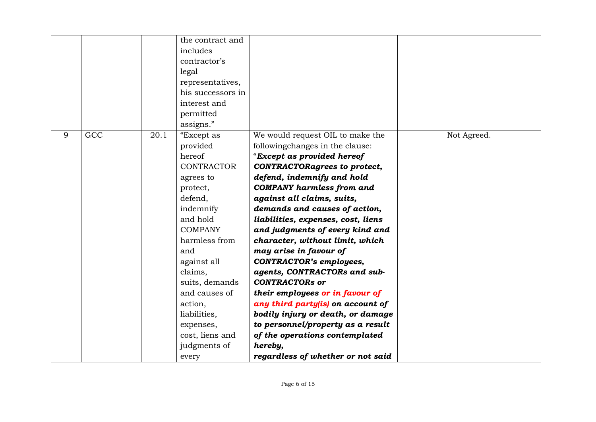|   |     |      | the contract and  |                                     |             |
|---|-----|------|-------------------|-------------------------------------|-------------|
|   |     |      | includes          |                                     |             |
|   |     |      | contractor's      |                                     |             |
|   |     |      | legal             |                                     |             |
|   |     |      | representatives,  |                                     |             |
|   |     |      | his successors in |                                     |             |
|   |     |      | interest and      |                                     |             |
|   |     |      | permitted         |                                     |             |
|   |     |      | assigns."         |                                     |             |
| 9 | GCC | 20.1 | "Except as        | We would request OIL to make the    | Not Agreed. |
|   |     |      | provided          | followingchanges in the clause:     |             |
|   |     |      | hereof            | "Except as provided hereof          |             |
|   |     |      | <b>CONTRACTOR</b> | <b>CONTRACTORagrees to protect,</b> |             |
|   |     |      | agrees to         | defend, indemnify and hold          |             |
|   |     |      | protect,          | <b>COMPANY</b> harmless from and    |             |
|   |     |      | defend,           | against all claims, suits,          |             |
|   |     |      | indemnify         | demands and causes of action,       |             |
|   |     |      | and hold          | liabilities, expenses, cost, liens  |             |
|   |     |      | <b>COMPANY</b>    | and judgments of every kind and     |             |
|   |     |      | harmless from     | character, without limit, which     |             |
|   |     |      | and               | may arise in favour of              |             |
|   |     |      | against all       | <b>CONTRACTOR's employees,</b>      |             |
|   |     |      | claims,           | agents, CONTRACTORs and sub-        |             |
|   |     |      | suits, demands    | <b>CONTRACTORs or</b>               |             |
|   |     |      | and causes of     | their employees or in favour of     |             |
|   |     |      | action,           | any third party(is) on account of   |             |
|   |     |      | liabilities,      | bodily injury or death, or damage   |             |
|   |     |      | expenses,         | to personnel/property as a result   |             |
|   |     |      | cost, liens and   | of the operations contemplated      |             |
|   |     |      | judgments of      | hereby,                             |             |
|   |     |      | every             | regardless of whether or not said   |             |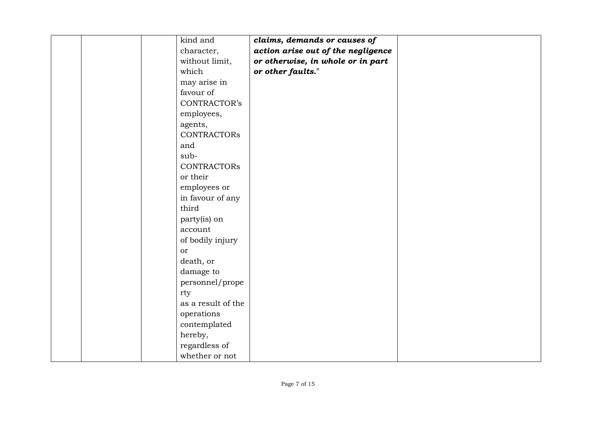| kind and           | claims, demands or causes of       |
|--------------------|------------------------------------|
| character,         | action arise out of the negligence |
| without limit,     | or otherwise, in whole or in part  |
| which              | or other faults."                  |
| may arise in       |                                    |
| favour of          |                                    |
| CONTRACTOR's       |                                    |
| employees,         |                                    |
| agents,            |                                    |
| <b>CONTRACTORS</b> |                                    |
| and                |                                    |
| sub-               |                                    |
| <b>CONTRACTORS</b> |                                    |
| or their           |                                    |
| employees or       |                                    |
| in favour of any   |                                    |
| third              |                                    |
| party(is) on       |                                    |
| account            |                                    |
| of bodily injury   |                                    |
| <sub>or</sub>      |                                    |
| death, or          |                                    |
| damage to          |                                    |
| personnel/prope    |                                    |
| rty                |                                    |
| as a result of the |                                    |
| operations         |                                    |
| contemplated       |                                    |
| hereby,            |                                    |
| regardless of      |                                    |
| whether or not     |                                    |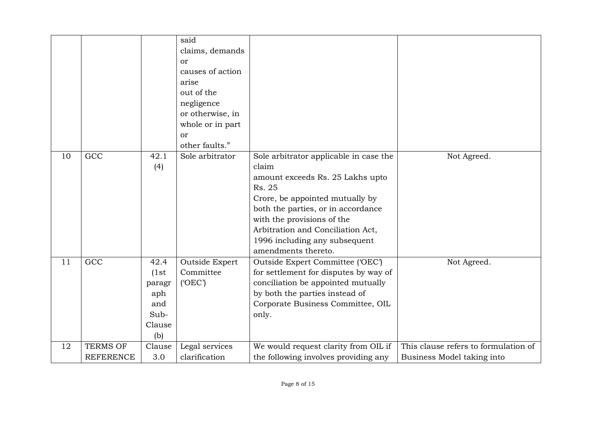|    |                  |        | said             |                                        |                                      |
|----|------------------|--------|------------------|----------------------------------------|--------------------------------------|
|    |                  |        | claims, demands  |                                        |                                      |
|    |                  |        | <sub>or</sub>    |                                        |                                      |
|    |                  |        | causes of action |                                        |                                      |
|    |                  |        | arise            |                                        |                                      |
|    |                  |        | out of the       |                                        |                                      |
|    |                  |        | negligence       |                                        |                                      |
|    |                  |        | or otherwise, in |                                        |                                      |
|    |                  |        | whole or in part |                                        |                                      |
|    |                  |        | or               |                                        |                                      |
|    |                  |        | other faults."   |                                        |                                      |
| 10 | GCC              | 42.1   | Sole arbitrator  | Sole arbitrator applicable in case the | Not Agreed.                          |
|    |                  | (4)    |                  | claim                                  |                                      |
|    |                  |        |                  | amount exceeds Rs. 25 Lakhs upto       |                                      |
|    |                  |        |                  | Rs. 25                                 |                                      |
|    |                  |        |                  | Crore, be appointed mutually by        |                                      |
|    |                  |        |                  | both the parties, or in accordance     |                                      |
|    |                  |        |                  | with the provisions of the             |                                      |
|    |                  |        |                  | Arbitration and Conciliation Act,      |                                      |
|    |                  |        |                  | 1996 including any subsequent          |                                      |
|    |                  |        |                  | amendments thereto.                    |                                      |
| 11 | GCC              | 42.4   | Outside Expert   | Outside Expert Committee ('OEC')       | Not Agreed.                          |
|    |                  | (1st)  | Committee        | for settlement for disputes by way of  |                                      |
|    |                  | paragr | (OEC)            | conciliation be appointed mutually     |                                      |
|    |                  | aph    |                  | by both the parties instead of         |                                      |
|    |                  | and    |                  | Corporate Business Committee, OIL      |                                      |
|    |                  | Sub-   |                  | only.                                  |                                      |
|    |                  | Clause |                  |                                        |                                      |
|    |                  | (b)    |                  |                                        |                                      |
| 12 | <b>TERMS OF</b>  | Clause | Legal services   | We would request clarity from OIL if   | This clause refers to formulation of |
|    | <b>REFERENCE</b> | 3.0    | clarification    | the following involves providing any   | Business Model taking into           |
|    |                  |        |                  |                                        |                                      |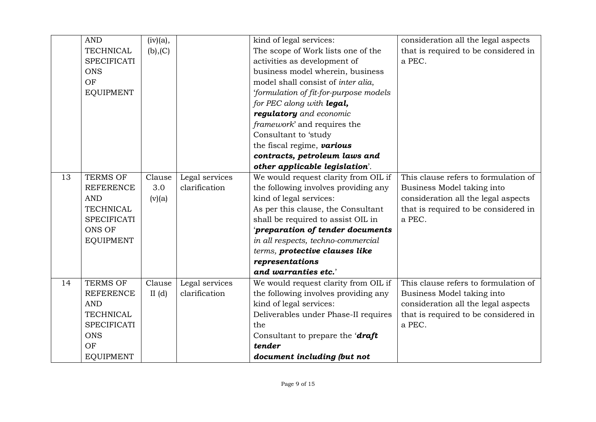|    | <b>AND</b>         | (iv)(a), |                | kind of legal services:                | consideration all the legal aspects  |
|----|--------------------|----------|----------------|----------------------------------------|--------------------------------------|
|    | <b>TECHNICAL</b>   | (b), (C) |                | The scope of Work lists one of the     | that is required to be considered in |
|    | <b>SPECIFICATI</b> |          |                | activities as development of           | a PEC.                               |
|    | <b>ONS</b>         |          |                | business model wherein, business       |                                      |
|    | OF                 |          |                | model shall consist of inter alia,     |                                      |
|    | <b>EQUIPMENT</b>   |          |                | 'formulation of fit-for-purpose models |                                      |
|    |                    |          |                | for PEC along with legal,              |                                      |
|    |                    |          |                | regulatory and economic                |                                      |
|    |                    |          |                | framework' and requires the            |                                      |
|    |                    |          |                | Consultant to 'study                   |                                      |
|    |                    |          |                | the fiscal regime, various             |                                      |
|    |                    |          |                | contracts, petroleum laws and          |                                      |
|    |                    |          |                | other applicable legislation'.         |                                      |
| 13 | <b>TERMS OF</b>    | Clause   | Legal services | We would request clarity from OIL if   | This clause refers to formulation of |
|    | <b>REFERENCE</b>   | 3.0      | clarification  | the following involves providing any   | Business Model taking into           |
|    | <b>AND</b>         | (v)(a)   |                | kind of legal services:                | consideration all the legal aspects  |
|    | <b>TECHNICAL</b>   |          |                | As per this clause, the Consultant     | that is required to be considered in |
|    | <b>SPECIFICATI</b> |          |                | shall be required to assist OIL in     | a PEC.                               |
|    | <b>ONS OF</b>      |          |                | 'preparation of tender documents       |                                      |
|    | <b>EQUIPMENT</b>   |          |                | in all respects, techno-commercial     |                                      |
|    |                    |          |                | terms, protective clauses like         |                                      |
|    |                    |          |                | representations                        |                                      |
|    |                    |          |                | and warranties etc.'                   |                                      |
| 14 | <b>TERMS OF</b>    | Clause   | Legal services | We would request clarity from OIL if   | This clause refers to formulation of |
|    | <b>REFERENCE</b>   | II $(d)$ | clarification  | the following involves providing any   | Business Model taking into           |
|    | <b>AND</b>         |          |                | kind of legal services:                | consideration all the legal aspects  |
|    | <b>TECHNICAL</b>   |          |                | Deliverables under Phase-II requires   | that is required to be considered in |
|    | <b>SPECIFICATI</b> |          |                | the                                    | a PEC.                               |
|    | <b>ONS</b>         |          |                | Consultant to prepare the 'draft       |                                      |
|    | OF                 |          |                | tender                                 |                                      |
|    | <b>EQUIPMENT</b>   |          |                | document including (but not            |                                      |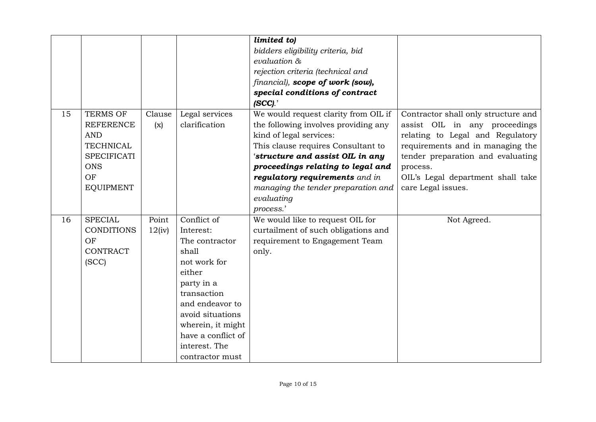|    |                    |        |                    | limited to)                          |                                     |
|----|--------------------|--------|--------------------|--------------------------------------|-------------------------------------|
|    |                    |        |                    | bidders eligibility criteria, bid    |                                     |
|    |                    |        |                    | evaluation &                         |                                     |
|    |                    |        |                    | rejection criteria (technical and    |                                     |
|    |                    |        |                    | financial), scope of work (sow),     |                                     |
|    |                    |        |                    | special conditions of contract       |                                     |
|    |                    |        |                    | (SCC).                               |                                     |
| 15 | <b>TERMS OF</b>    | Clause | Legal services     | We would request clarity from OIL if | Contractor shall only structure and |
|    | <b>REFERENCE</b>   | (x)    | clarification      | the following involves providing any | assist OIL in any proceedings       |
|    | <b>AND</b>         |        |                    | kind of legal services:              | relating to Legal and Regulatory    |
|    | <b>TECHNICAL</b>   |        |                    | This clause requires Consultant to   | requirements and in managing the    |
|    | <b>SPECIFICATI</b> |        |                    | 'structure and assist OIL in any     | tender preparation and evaluating   |
|    | <b>ONS</b>         |        |                    | proceedings relating to legal and    | process.                            |
|    | OF                 |        |                    | regulatory requirements and in       | OIL's Legal department shall take   |
|    | <b>EQUIPMENT</b>   |        |                    | managing the tender preparation and  | care Legal issues.                  |
|    |                    |        |                    | evaluating                           |                                     |
|    |                    |        |                    | process.'                            |                                     |
| 16 | <b>SPECIAL</b>     | Point  | Conflict of        | We would like to request OIL for     | Not Agreed.                         |
|    | <b>CONDITIONS</b>  | 12(iv) | Interest:          | curtailment of such obligations and  |                                     |
|    | OF                 |        | The contractor     | requirement to Engagement Team       |                                     |
|    | <b>CONTRACT</b>    |        | shall              | only.                                |                                     |
|    | (SCC)              |        | not work for       |                                      |                                     |
|    |                    |        | either             |                                      |                                     |
|    |                    |        | party in a         |                                      |                                     |
|    |                    |        | transaction        |                                      |                                     |
|    |                    |        | and endeavor to    |                                      |                                     |
|    |                    |        | avoid situations   |                                      |                                     |
|    |                    |        | wherein, it might  |                                      |                                     |
|    |                    |        | have a conflict of |                                      |                                     |
|    |                    |        | interest. The      |                                      |                                     |
|    |                    |        | contractor must    |                                      |                                     |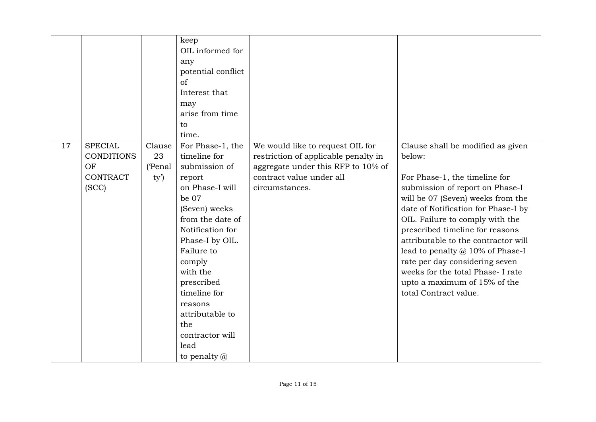|    |                                                                       |                                | keep<br>OIL informed for<br>any<br>potential conflict<br>of<br>Interest that<br>may<br>arise from time<br>to<br>time.                                                                                                                                                                                                     |                                                                                                                                                              |                                                                                                                                                                                                                                                                                                                                                                                                                                                                                |
|----|-----------------------------------------------------------------------|--------------------------------|---------------------------------------------------------------------------------------------------------------------------------------------------------------------------------------------------------------------------------------------------------------------------------------------------------------------------|--------------------------------------------------------------------------------------------------------------------------------------------------------------|--------------------------------------------------------------------------------------------------------------------------------------------------------------------------------------------------------------------------------------------------------------------------------------------------------------------------------------------------------------------------------------------------------------------------------------------------------------------------------|
| 17 | <b>SPECIAL</b><br><b>CONDITIONS</b><br>OF<br><b>CONTRACT</b><br>(SCC) | Clause<br>23<br>('Penal<br>ty' | For Phase-1, the<br>timeline for<br>submission of<br>report<br>on Phase-I will<br>be 07<br>(Seven) weeks<br>from the date of<br>Notification for<br>Phase-I by OIL.<br>Failure to<br>comply<br>with the<br>prescribed<br>timeline for<br>reasons<br>attributable to<br>the<br>contractor will<br>lead<br>to penalty $(a)$ | We would like to request OIL for<br>restriction of applicable penalty in<br>aggregate under this RFP to 10% of<br>contract value under all<br>circumstances. | Clause shall be modified as given<br>below:<br>For Phase-1, the timeline for<br>submission of report on Phase-I<br>will be 07 (Seven) weeks from the<br>date of Notification for Phase-I by<br>OIL. Failure to comply with the<br>prescribed timeline for reasons<br>attributable to the contractor will<br>lead to penalty $@10\%$ of Phase-I<br>rate per day considering seven<br>weeks for the total Phase- I rate<br>upto a maximum of 15% of the<br>total Contract value. |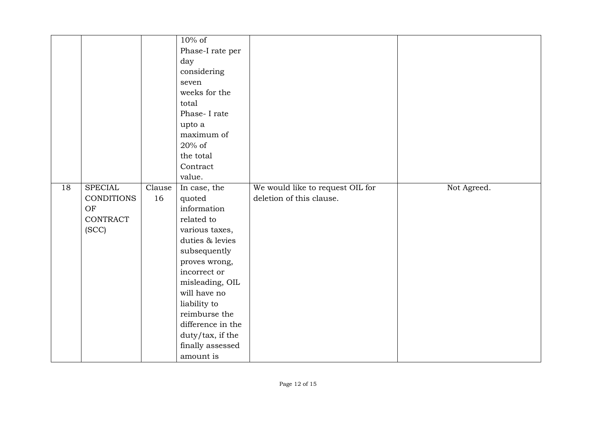|    |                   |        | $10\%$ of         |                                  |             |
|----|-------------------|--------|-------------------|----------------------------------|-------------|
|    |                   |        | Phase-I rate per  |                                  |             |
|    |                   |        | day               |                                  |             |
|    |                   |        | considering       |                                  |             |
|    |                   |        | seven             |                                  |             |
|    |                   |        | weeks for the     |                                  |             |
|    |                   |        | total             |                                  |             |
|    |                   |        | Phase-I rate      |                                  |             |
|    |                   |        | upto a            |                                  |             |
|    |                   |        | maximum of        |                                  |             |
|    |                   |        | 20% of            |                                  |             |
|    |                   |        | the total         |                                  |             |
|    |                   |        | Contract          |                                  |             |
|    |                   |        | value.            |                                  |             |
| 18 | <b>SPECIAL</b>    | Clause | In case, the      | We would like to request OIL for | Not Agreed. |
|    | <b>CONDITIONS</b> | 16     | quoted            | deletion of this clause.         |             |
|    | OF                |        | information       |                                  |             |
|    | <b>CONTRACT</b>   |        | related to        |                                  |             |
|    | (SCC)             |        | various taxes,    |                                  |             |
|    |                   |        | duties & levies   |                                  |             |
|    |                   |        | subsequently      |                                  |             |
|    |                   |        | proves wrong,     |                                  |             |
|    |                   |        | incorrect or      |                                  |             |
|    |                   |        | misleading, OIL   |                                  |             |
|    |                   |        | will have no      |                                  |             |
|    |                   |        | liability to      |                                  |             |
|    |                   |        | reimburse the     |                                  |             |
|    |                   |        | difference in the |                                  |             |
|    |                   |        | duty/tax, if the  |                                  |             |
|    |                   |        | finally assessed  |                                  |             |
|    |                   |        | amount is         |                                  |             |
|    |                   |        |                   |                                  |             |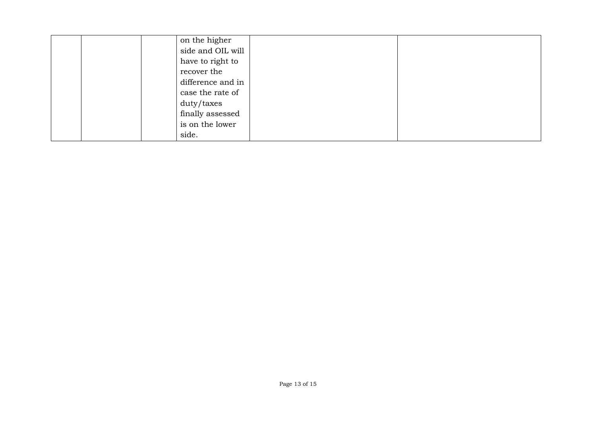|  | on the higher     |  |
|--|-------------------|--|
|  | side and OIL will |  |
|  | have to right to  |  |
|  | recover the       |  |
|  | difference and in |  |
|  | case the rate of  |  |
|  | duty/taxes        |  |
|  | finally assessed  |  |
|  | is on the lower   |  |
|  | side.             |  |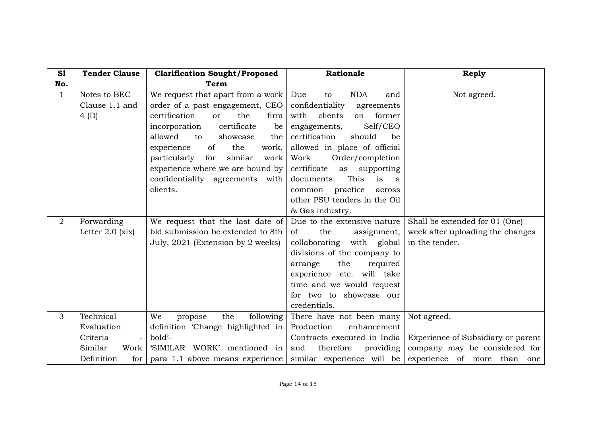| S1             | <b>Tender Clause</b>                                                                                    | <b>Clarification Sought/Proposed</b>                                                                                                                                                                                                                                                                                                                             | Rationale                                                                                                                                                                                                                                                                                                                                                       | <b>Reply</b>                                                                                                                                      |
|----------------|---------------------------------------------------------------------------------------------------------|------------------------------------------------------------------------------------------------------------------------------------------------------------------------------------------------------------------------------------------------------------------------------------------------------------------------------------------------------------------|-----------------------------------------------------------------------------------------------------------------------------------------------------------------------------------------------------------------------------------------------------------------------------------------------------------------------------------------------------------------|---------------------------------------------------------------------------------------------------------------------------------------------------|
| No.            |                                                                                                         | <b>Term</b>                                                                                                                                                                                                                                                                                                                                                      |                                                                                                                                                                                                                                                                                                                                                                 |                                                                                                                                                   |
| $\mathbf{1}$   | Notes to BEC<br>Clause 1.1 and<br>4(D)                                                                  | We request that apart from a work<br>order of a past engagement, CEO<br>certification<br>the<br>firm<br><sub>or</sub><br>certificate<br>incorporation<br>be<br>allowed<br>to<br>showcase<br>the<br>of<br>the<br>experience<br>work,<br>particularly<br>for<br>similar<br>work<br>experience where we are bound by<br>confidentiality agreements with<br>clients. | Due<br><b>NDA</b><br>to<br>and<br>confidentiality<br>agreements<br>former<br>with<br>clients<br>on<br>Self/CEO<br>engagements,<br>certification<br>should<br>be<br>allowed in place of official<br>Order/completion<br>Work<br>certificate<br>as<br>supporting<br>This<br>is<br>documents.<br>a<br>practice<br>across<br>common<br>other PSU tenders in the Oil | Not agreed.                                                                                                                                       |
| $\overline{2}$ | Forwarding<br>Letter $2.0$ (xix)                                                                        | We request that the last date of<br>bid submission be extended to 8th<br>July, 2021 (Extension by 2 weeks)                                                                                                                                                                                                                                                       | & Gas industry.<br>Due to the extensive nature<br>the<br>of<br>assignment,<br>collaborating with global<br>divisions of the company to<br>required<br>the<br>arrange<br>experience etc. will take<br>time and we would request<br>for two to showcase our<br>credentials.                                                                                       | Shall be extended for 01 (One)<br>week after uploading the changes<br>in the tender.                                                              |
| 3              | Technical<br>Evaluation<br>Criteria<br>$\overline{\phantom{a}}$<br>Similar<br>Work<br>Definition<br>for | We<br>the<br>following<br>propose<br>definition 'Change highlighted in<br>bold'-<br>'SIMILAR WORK' mentioned in<br>para 1.1 above means experience                                                                                                                                                                                                               | There have not been many<br>Production<br>enhancement<br>therefore<br>and<br>providing<br>similar experience will be                                                                                                                                                                                                                                            | Not agreed.<br>Contracts executed in India   Experience of Subsidiary or parent  <br>company may be considered for<br>experience of more than one |